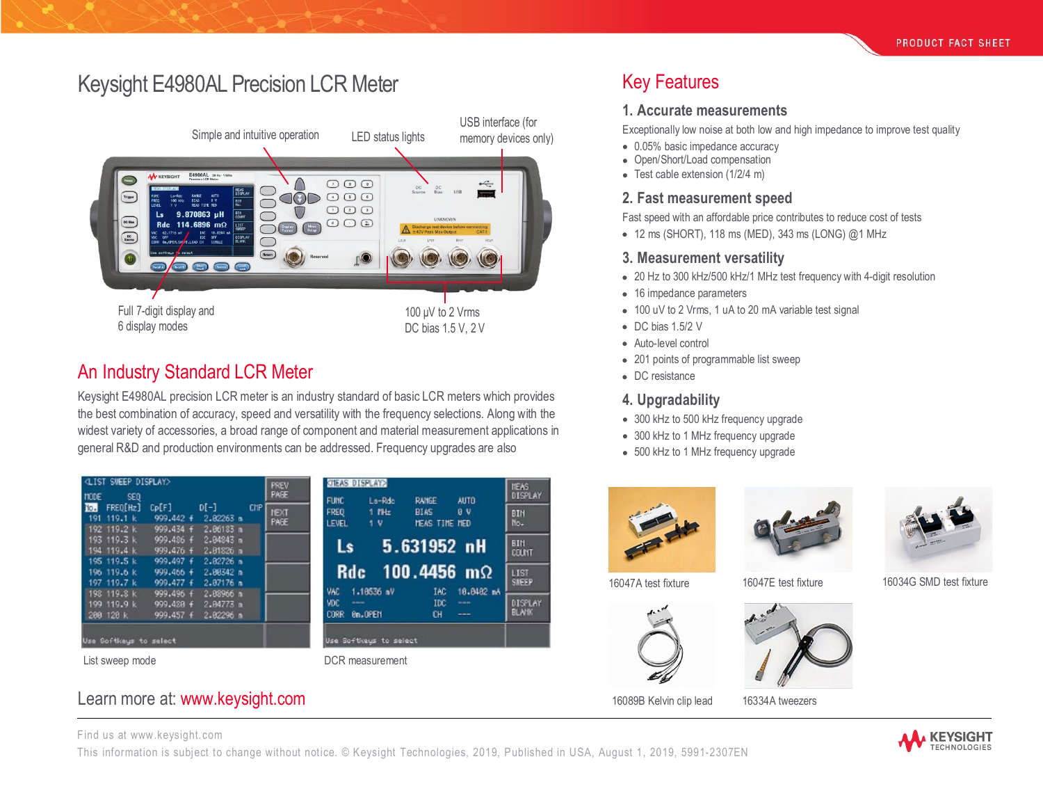# Keysight E4980AL Precision LCR Meter Key Features



## An Industry Standard LCR Meter

Keysight E4980AL precision LCR meter is an industry standard of basic LCR meters which provides the best combination of accuracy, speed and versatility with the frequency selections. Along with the widest variety of accessories, a broad range of component and material measurement applications in general R&D and production environments can be addressed. Frequency upgrades are also

| <b><i>CLIST SWEEP DISPLAY&gt;</i></b>     |                                     |                                       | PREV                              | <b>CTEAS DISPLAY&gt;</b>           |                                  |                       |                   | <b>NEAS</b>             |
|-------------------------------------------|-------------------------------------|---------------------------------------|-----------------------------------|------------------------------------|----------------------------------|-----------------------|-------------------|-------------------------|
| <b>HODE</b><br>SED.<br>To.<br>FREO[Hz]    | Cp[F]                               | $D[-]$                                | PAGE<br><b>CHP</b><br><b>NEXT</b> | <b>FUNC</b><br><b>FREQ</b>         | La-Rdo<br>$1$ $\mu$ <sub>k</sub> | <b>RANCE</b><br>BIAS: | <b>AUTO</b><br>9V | DISPLAY                 |
| 191 119.1 k<br>192 119.2 k                | 999.442 +<br>999.434 +              | 2.82263 n<br>2.06183 n                | PAGE                              | <b>LEVEL</b>                       | 1 V                              | HEAS TIME MED         |                   | <b>BIH</b><br>No.       |
| $193$ 119.3 k<br>194 119.4 k              | 999.486 f<br>999,476 f              | 2.04843n<br>2.81826 m                 |                                   | L <sub>s</sub>                     |                                  | 5.631952 nH           |                   | <b>BIN</b><br>COUNT     |
| 195 119.5 k<br>196 119.6 k                | 999.497 f<br>$999.466 +$            | $2.82726$ n<br>2.00342 п              |                                   | <b>Rdc</b>                         |                                  | 100.4456 $m\Omega$    |                   | LIST                    |
| 197 119.7 k<br>198 119.8 k<br>199 119.9 k | 999.477 +<br>999,496 f<br>999.420 f | $2.87176$ m<br>2.88966 m<br>2.84773 m |                                   | VAC<br><b>VDC</b><br><b>MARGER</b> | 1.18536 aV                       | IAC<br>IDC            | 18.8482 nA<br>--- | <b>SNEEP</b><br>DISPLAY |
| 288 128 k                                 | 999.457 f                           | 2.82296 m                             |                                   | <b>CORR</b>                        | 8n.OPEN                          | CН                    | ---               | <b>BLANK</b>            |
| Use Softkeys to select                    |                                     |                                       |                                   |                                    | Use Softkeus to select           |                       |                   |                         |
| List sweep mode                           |                                     |                                       |                                   |                                    | DCR measurement                  |                       |                   |                         |

### Learn more at: [www.keysight.com](http://www.keysight.com/)

Find us at [www.keysight.com](http://www.keysight.com/)

This information is subject to change without notice. © Keysight Technologies, 2019, Published in USA, August 1, 2019, 5991-2307EN



#### **1. Accurate measurements**

Exceptionally low noise at both low and high impedance to improve test quality

- 0.05% basic impedance accuracy
- Open/Short/Load compensation
- Test cable extension (1/2/4 m)

#### **2. Fast measurement speed**

Fast speed with an affordable price contributes to reduce cost of tests

• 12 ms (SHORT), 118 ms (MED), 343 ms (LONG) @1 MHz

#### **3. Measurement versatility**

- 20 Hz to 300 kHz/500 kHz/1 MHz test frequency with 4-digit resolution
- 16 impedance parameters
- 100 uV to 2 Vrms, 1 uA to 20 mA variable test signal
- DC bias 1.5/2 V
- Auto-level control
- 201 points of programmable list sweep
- DC resistance

#### **4. Upgradability**

- 300 kHz to 500 kHz frequency upgrade
- 300 kHz to 1 MHz frequency upgrade
- 500 kHz to 1 MHz frequency upgrade







16047A test fixture 16047E test fixture 16034G SMD test fixture





16089B Kelvin clip lead 16334A tweezers